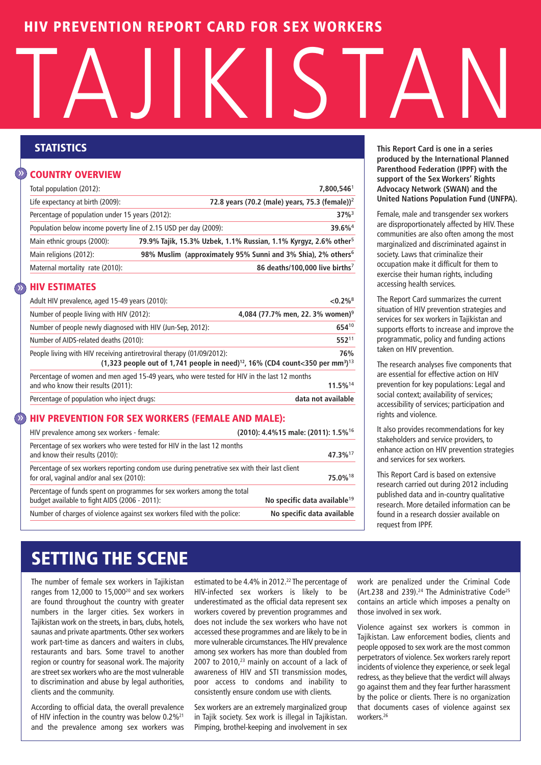## **HIV PREVENTION REPORT CARD FOR SEX WORKERS**

# TAJIKISTAN

#### **COUNTRY OVERVIEW** »

| Total population (2012):                                         | 7.800.5461                                                                   |
|------------------------------------------------------------------|------------------------------------------------------------------------------|
| Life expectancy at birth (2009):                                 | 72.8 years (70.2 (male) years, 75.3 (female)) <sup>2</sup>                   |
| Percentage of population under 15 years (2012):                  | $37\%$ <sup>3</sup>                                                          |
| Population below income poverty line of 2.15 USD per day (2009): | $39.6\%$ <sup>4</sup>                                                        |
| Main ethnic groups (2000):                                       | 79.9% Tajik, 15.3% Uzbek, 1.1% Russian, 1.1% Kyrgyz, 2.6% other <sup>5</sup> |
| Main religions (2012):                                           | 98% Muslim (approximately 95% Sunni and 3% Shia), 2% others <sup>6</sup>     |
| Maternal mortality rate (2010):                                  | 86 deaths/100,000 live births <sup>7</sup>                                   |
|                                                                  |                                                                              |

#### **HIV ESTIMATES**  $\sum_{i=1}^{n}$

| Adult HIV prevalence, aged 15-49 years (2010):                                                                                                                                                | ${<}0.2\%$ <sup>8</sup>                      |
|-----------------------------------------------------------------------------------------------------------------------------------------------------------------------------------------------|----------------------------------------------|
| Number of people living with HIV (2012):                                                                                                                                                      | 4,084 (77.7% men, 22. 3% women) <sup>9</sup> |
| Number of people newly diagnosed with HIV (Jun-Sep, 2012):                                                                                                                                    | 65410                                        |
| Number of AIDS-related deaths (2010):                                                                                                                                                         | 55211                                        |
| People living with HIV receiving antiretroviral therapy (01/09/2012):<br>$(1,323)$ people out of 1,741 people in need) <sup>12</sup> , 16% (CD4 count<350 per mm <sup>3</sup> ) <sup>13</sup> | 76%                                          |
| Percentage of women and men aged 15-49 years, who were tested for HIV in the last 12 months<br>and who know their results (2011):                                                             | 11.5%14                                      |
| Percentage of population who inject drugs:                                                                                                                                                    | data not available                           |

#### **HIV PREVENTION FOR SEX WORKERS (FEMALE AND MALE):**  $\hat{y}$

| HIV prevalence among sex workers - female:                                                                                                | (2010): 4.4%15 male: (2011): 1.5% <sup>16</sup> |
|-------------------------------------------------------------------------------------------------------------------------------------------|-------------------------------------------------|
| Percentage of sex workers who were tested for HIV in the last 12 months<br>and know their results (2010):                                 | 47.3% <sup>17</sup>                             |
| Percentage of sex workers reporting condom use during penetrative sex with their last client<br>for oral, vaginal and/or anal sex (2010): | 75.0% <sup>18</sup>                             |
| Percentage of funds spent on programmes for sex workers among the total<br>budget available to fight AIDS (2006 - 2011):                  | No specific data available <sup>19</sup>        |
| Number of charges of violence against sex workers filed with the police:                                                                  | No specific data available                      |

**STATISTICS This Report Card is one in a series produced by the International Planned Parenthood Federation (IPPF) with the support of the Sex Workers' Rights Advocacy Network (SWAN) and the United Nations Population Fund (UNFPA).**

> Female, male and transgender sex workers are disproportionately affected by HIV. These communities are also often among the most marginalized and discriminated against in society. Laws that criminalize their occupation make it difficult for them to exercise their human rights, including accessing health services.

> The Report Card summarizes the current situation of HIV prevention strategies and services for sex workers in Tajikistan and supports efforts to increase and improve the programmatic, policy and funding actions taken on HIV prevention.

> The research analyses five components that are essential for effective action on HIV prevention for key populations: Legal and social context; availability of services; accessibility of services; participation and rights and violence.

> It also provides recommendations for key stakeholders and service providers, to enhance action on HIV prevention strategies and services for sex workers.

This Report Card is based on extensive research carried out during 2012 including published data and in-country qualitative research. More detailed information can be found in a research dossier available on request from IPPF.

# **SETTING THE SCENE**

The number of female sex workers in Tajikistan ranges from 12,000 to 15,00020 and sex workers are found throughout the country with greater numbers in the larger cities. Sex workers in Tajikistan work on the streets, in bars, clubs, hotels, saunas and private apartments. Other sex workers work part-time as dancers and waiters in clubs, restaurants and bars. Some travel to another region or country for seasonal work. The majority are street sex workers who are the most vulnerable to discrimination and abuse by legal authorities, clients and the community.

According to official data, the overall prevalence of HIV infection in the country was below 0.2%<sup>21</sup> and the prevalence among sex workers was

estimated to be 4.4% in 2012. <sup>22</sup> The percentage of HIV-infected sex workers is likely to be underestimated as the official data represent sex workers covered by prevention programmes and does not include the sex workers who have not accessed these programmes and are likely to be in more vulnerable circumstances.The HIV prevalence among sex workers has more than doubled from  $2007$  to  $2010<sub>1</sub><sup>23</sup>$  mainly on account of a lack of awareness of HIV and STI transmission modes, poor access to condoms and inability to consistently ensure condom use with clients.

Sex workers are an extremely marginalized group in Tajik society. Sex work is illegal in Tajikistan. Pimping, brothel-keeping and involvement in sex work are penalized under the Criminal Code (Art.238 and 239). <sup>24</sup> The Administrative Code25 contains an article which imposes a penalty on those involved in sex work.

Violence against sex workers is common in Tajikistan. Law enforcement bodies, clients and people opposed to sex work are the most common perpetrators of violence. Sex workers rarely report incidents of violence they experience, or seek legal redress, as they believe that the verdict will always go against them and they fear further harassment by the police or clients. There is no organization that documents cases of violence against sex workers. 26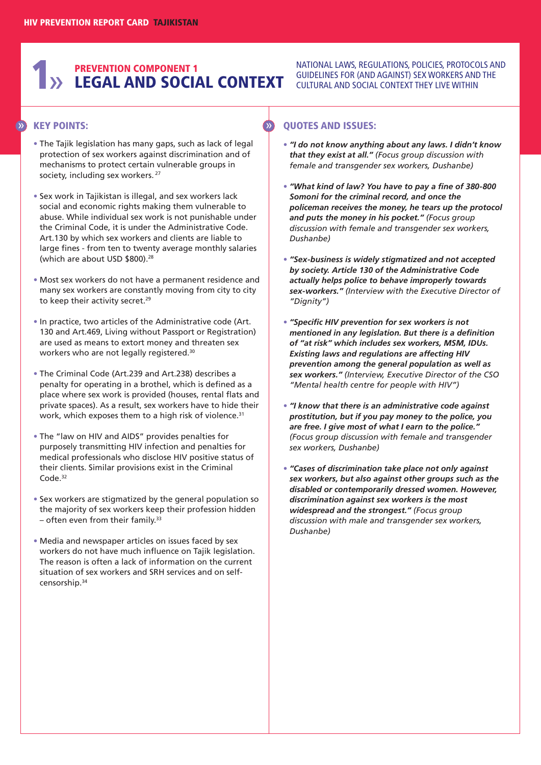# **1** >> LEGAL AND SOCIAL CONTEXT **PREVENTION COMPONENT 1**

#### NATIONAL LAWS, REGULATIONS, POLICIES, PROTOCOLS AND GUIDELINES FOR (AND AGAINST) SEX WORKERS AND THE CULTURAL AND SOCIAL CONTEXT THEY LIVE WITHIN

## **KEY POINTS:** » »

- **•** The Tajik legislation has many gaps, such as lack of legal protection of sex workers against discrimination and of mechanisms to protect certain vulnerable groups in society, including sex workers.<sup>27</sup>
- **•** Sex work in Tajikistan is illegal, and sex workers lack social and economic rights making them vulnerable to abuse. While individual sex work is not punishable under the Criminal Code, it is under the Administrative Code. Art.130 by which sex workers and clients are liable to large fines - from ten to twenty average monthly salaries (which are about USD \$800). 28
- **•** Most sex workers do not have a permanent residence and many sex workers are constantly moving from city to city to keep their activity secret. 29
- **•** In practice, two articles of the Administrative code (Art. 130 and Art.469, Living without Passport or Registration) are used as means to extort money and threaten sex workers who are not legally registered. 30
- **•** The Criminal Code (Art.239 and Art.238) describes a penalty for operating in a brothel, which is defined as a place where sex work is provided (houses, rental flats and private spaces). As a result, sex workers have to hide their work, which exposes them to a high risk of violence.<sup>31</sup>
- **•** The "law on HIV and AIDS" provides penalties for purposely transmitting HIV infection and penalties for medical professionals who disclose HIV positive status of their clients. Similar provisions exist in the Criminal Code. 32
- **•** Sex workers are stigmatized by the general population so the majority of sex workers keep their profession hidden – often even from their family.<sup>33</sup>
- **•** Media and newspaper articles on issues faced by sex workers do not have much influence on Tajik legislation. The reason is often a lack of information on the current situation of sex workers and SRH services and on selfcensorship. 34

- **•** *"I do not know anything about any laws. I didn't know that they exist at all." (Focus group discussion with female and transgender sex workers, Dushanbe)*
- **•** *"What kind of law? You have to pay a fine of 380-800 Somoni for the criminal record, and once the policeman receives the money, he tears up the protocol and puts the money in his pocket." (Focus group discussion with female and transgender sex workers, Dushanbe)*
- **•** *"Sex-business is widely stigmatized and not accepted by society. Article 130 of the Administrative Code actually helps police to behave improperly towards sex-workers." (Interview with the Executive Director of "Dignity")*
- **•** *"Specific HIV prevention for sex workers is not mentioned in any legislation. But there is a definition of "at risk" which includes sex workers, MSM, IDUs. Existing laws and regulations are affecting HIV prevention among the general population as well as sex workers." (Interview, Executive Director of the CSO "Mental health centre for people with HIV")*
- **•** *"I know that there is an administrative code against prostitution, but if you pay money to the police, you are free. I give most of what I earn to the police." (Focus group discussion with female and transgender sex workers, Dushanbe)*
- **•** *"Cases of discrimination take place not only against sex workers, but also against other groups such as the disabled or contemporarily dressed women. However, discrimination against sex workers is the most widespread and the strongest." (Focus group discussion with male and transgender sex workers, Dushanbe)*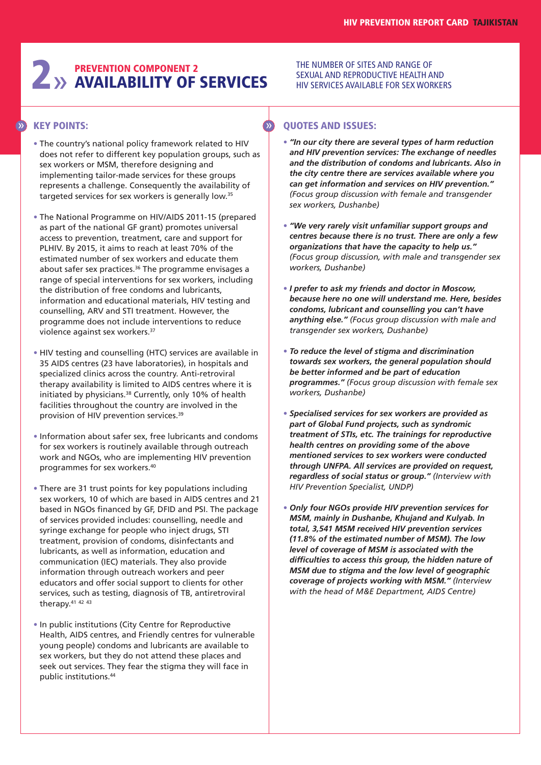# **2** >> **AVAILABILITY OF AVAILABILITY OF SERVICES**

#### THE NUMBER OF SITES AND RANGE OF SEXUAL AND REPRODUCTIVE HEALTH AND HIV SERVICES AVAILABLE FOR SEX WORKERS

## **KEY POINTS:** » »

- **•** The country's national policy framework related to HIV does not refer to different key population groups, such as sex workers or MSM, therefore designing and implementing tailor-made services for these groups represents a challenge. Consequently the availability of targeted services for sex workers is generally low. 35
- **•** The National Programme on HIV/AIDS 2011-15 (prepared as part of the national GF grant) promotes universal access to prevention, treatment, care and support for PLHIV. By 2015, it aims to reach at least 70% of the estimated number of sex workers and educate them about safer sex practices. <sup>36</sup> The programme envisages a range of special interventions for sex workers, including the distribution of free condoms and lubricants, information and educational materials, HIV testing and counselling, ARV and STI treatment. However, the programme does not include interventions to reduce violence against sex workers. 37
- **•** HIV testing and counselling (HTC) services are available in 35 AIDS centres (23 have laboratories), in hospitals and specialized clinics across the country. Anti-retroviral therapy availability is limited to AIDS centres where it is initiated by physicians. <sup>38</sup> Currently, only 10% of health facilities throughout the country are involved in the provision of HIV prevention services. 39
- **•** Information about safer sex, free lubricants and condoms for sex workers is routinely available through outreach work and NGOs, who are implementing HIV prevention programmes for sex workers. 40
- **•** There are 31 trust points for key populations including sex workers, 10 of which are based in AIDS centres and 21 based in NGOs financed by GF, DFID and PSI. The package of services provided includes: counselling, needle and syringe exchange for people who inject drugs, STI treatment, provision of condoms, disinfectants and lubricants, as well as information, education and communication (IEC) materials. They also provide information through outreach workers and peer educators and offer social support to clients for other services, such as testing, diagnosis of TB, antiretroviral therapy.<sup>41 42 43</sup>
- **•** In public institutions (City Centre for Reproductive Health, AIDS centres, and Friendly centres for vulnerable young people) condoms and lubricants are available to sex workers, but they do not attend these places and seek out services. They fear the stigma they will face in public institutions. 44

- **•** *"In our city there are several types of harm reduction and HIV prevention services: The exchange of needles and the distribution of condoms and lubricants. Also in the city centre there are services available where you can get information and services on HIV prevention." (Focus group discussion with female and transgender sex workers, Dushanbe)*
- **•** *"We very rarely visit unfamiliar support groups and centres because there is no trust. There are only a few organizations that have the capacity to help us." (Focus group discussion, with male and transgender sex workers, Dushanbe)*
- **•** *I prefer to ask my friends and doctor in Moscow, because here no one will understand me. Here, besides condoms, lubricant and counselling you can't have anything else." (Focus group discussion with male and transgender sex workers, Dushanbe)*
- **•** *To reduce the level of stigma and discrimination towards sex workers, the general population should be better informed and be part of education programmes." (Focus group discussion with female sex workers, Dushanbe)*
- **•** *Specialised services for sex workers are provided as part of Global Fund projects, such as syndromic treatment of STIs, etc. The trainings for reproductive health centres on providing some of the above mentioned services to sex workers were conducted through UNFPA. All services are provided on request, regardless of social status or group." (Interview with HIV Prevention Specialist, UNDP)*
- **•** *Only four NGOs provide HIV prevention services for MSM, mainly in Dushanbe, Khujand and Kulyab. In total, 3,541 MSM received HIV prevention services (11.8% of the estimated number of MSM). The low level of coverage of MSM is associated with the difficulties to access this group, the hidden nature of MSM due to stigma and the low level of geographic coverage of projects working with MSM." (Interview with the head of M&E Department, AIDS Centre)*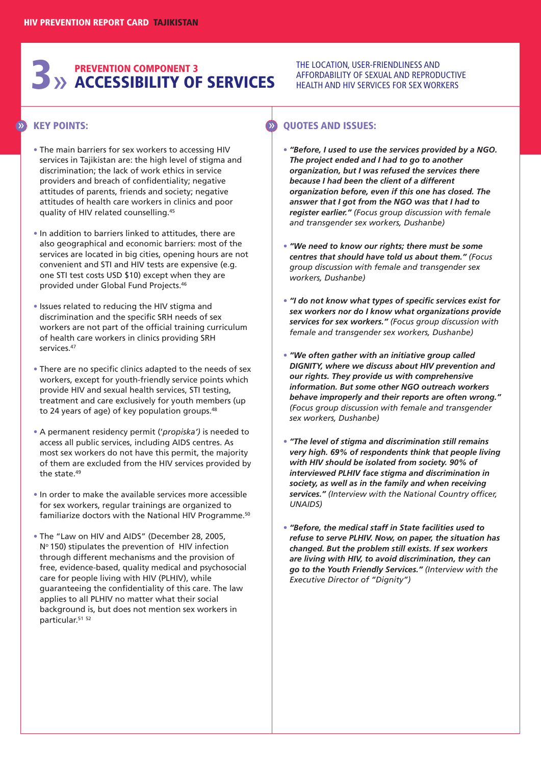# **3**» **ACCESSIBILITY OF SERVICES PREVENTION COMPONENT 3**

#### THE LOCATION, USER-FRIENDLINESS AND AFFORDABILITY OF SEXUAL AND REPRODUCTIVE HEALTH AND HIV SERVICES FOR SEX WORKERS

## **KEY POINTS:** » »

- **•** The main barriers for sex workers to accessing HIV services in Tajikistan are: the high level of stigma and discrimination; the lack of work ethics in service providers and breach of confidentiality; negative attitudes of parents, friends and society; negative attitudes of health care workers in clinics and poor quality of HIV related counselling. 45
- **•** In addition to barriers linked to attitudes, there are also geographical and economic barriers: most of the services are located in big cities, opening hours are not convenient and STI and HIV tests are expensive (e.g. one STI test costs USD \$10) except when they are provided under Global Fund Projects. 46
- **•** Issues related to reducing the HIV stigma and discrimination and the specific SRH needs of sex workers are not part of the official training curriculum of health care workers in clinics providing SRH services. 47
- **•** There are no specific clinics adapted to the needs of sex workers, except for youth-friendly service points which provide HIV and sexual health services, STI testing, treatment and care exclusively for youth members (up to 24 years of age) of key population groups. 48
- **•** A permanent residency permit ('*propiska')* is needed to access all public services, including AIDS centres. As most sex workers do not have this permit, the majority of them are excluded from the HIV services provided by the state. 49
- **•** In order to make the available services more accessible for sex workers, regular trainings are organized to familiarize doctors with the National HIV Programme. 50
- **•** The "Law on HIV and AIDS" (December 28, 2005, Nº 150) stipulates the prevention of HIV infection through different mechanisms and the provision of free, evidence-based, quality medical and psychosocial care for people living with HIV (PLHIV), while guaranteeing the confidentiality of this care. The law applies to all PLHIV no matter what their social background is, but does not mention sex workers in particular. 51 52

- **•** *"Before, I used to use the services provided by a NGO. The project ended and I had to go to another organization, but I was refused the services there because I had been the client of a different organization before, even if this one has closed. The answer that I got from the NGO was that I had to register earlier." (Focus group discussion with female and transgender sex workers, Dushanbe)*
- **•** *"We need to know our rights; there must be some centres that should have told us about them." (Focus group discussion with female and transgender sex workers, Dushanbe)*
- **•** *"I do not know what types of specific services exist for sex workers nor do I know what organizations provide services for sex workers." (Focus group discussion with female and transgender sex workers, Dushanbe)*
- **•** *"We often gather with an initiative group called DIGNITY, where we discuss about HIV prevention and our rights. They provide us with comprehensive information. But some other NGO outreach workers behave improperly and their reports are often wrong." (Focus group discussion with female and transgender sex workers, Dushanbe)*
- **•** *"The level of stigma and discrimination still remains very high. 69% of respondents think that people living with HIV should be isolated from society. 90% of interviewed PLHIV face stigma and discrimination in society, as well as in the family and when receiving services." (Interview with the National Country officer, UNAIDS)*
- **•** *"Before, the medical staff in State facilities used to refuse to serve PLHIV. Now, on paper, the situation has changed. But the problem still exists. If sex workers are living with HIV, to avoid discrimination, they can go to the Youth Friendly Services." (Interview with the Executive Director of "Dignity")*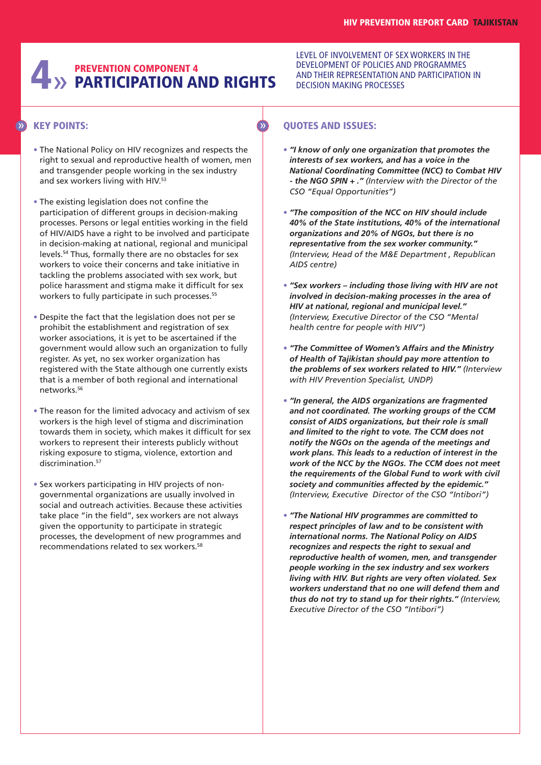# **4**» **PARTICIPATION AND RIGHTS PREVENTION COMPONENT 4**

## **KEY POINTS:** » »

- **•** The National Policy on HIV recognizes and respects the right to sexual and reproductive health of women, men and transgender people working in the sex industry and sex workers living with HIV. 53
- **•** The existing legislation does not confine the participation of different groups in decision-making processes. Persons or legal entities working in the field of HIV/AIDS have a right to be involved and participate in decision-making at national, regional and municipal levels. <sup>54</sup> Thus, formally there are no obstacles for sex workers to voice their concerns and take initiative in tackling the problems associated with sex work, but police harassment and stigma make it difficult for sex workers to fully participate in such processes.<sup>55</sup>
- **•** Despite the fact that the legislation does not per se prohibit the establishment and registration of sex worker associations, it is yet to be ascertained if the government would allow such an organization to fully register. As yet, no sex worker organization has registered with the State although one currently exists that is a member of both regional and international networks. 56
- **•** The reason for the limited advocacy and activism of sex workers is the high level of stigma and discrimination towards them in society, which makes it difficult for sex workers to represent their interests publicly without risking exposure to stigma, violence, extortion and discrimination. 57
- **•** Sex workers participating in HIV projects of nongovernmental organizations are usually involved in social and outreach activities. Because these activities take place "in the field", sex workers are not always given the opportunity to participate in strategic processes, the development of new programmes and recommendations related to sex workers. 58

LEVEL OF INVOLVEMENT OF SEX WORKERS IN THE DEVELOPMENT OF POLICIES AND PROGRAMMES AND THEIR REPRESENTATION AND PARTICIPATION IN DECISION MAKING PROCESSES

- **•** *"I know of only one organization that promotes the interests of sex workers, and has a voice in the National Coordinating Committee (NCC) to Combat HIV - the NGO SPIN + ." (Interview with the Director of the CSO "Equal Opportunities")*
- **•** *"The composition of the NCC on HIV should include 40% of the State institutions, 40% of the international organizations and 20% of NGOs, but there is no representative from the sex worker community." (Interview, Head of the M&E Department , Republican AIDS centre)*
- **•** *"Sex workers – including those living with HIV are not involved in decision-making processes in the area of HIV at national, regional and municipal level." (Interview, Executive Director of the CSO "Mental health centre for people with HIV")*
- **•** *"The Committee of Women's Affairs and the Ministry of Health of Tajikistan should pay more attention to the problems of sex workers related to HIV." (Interview with HIV Prevention Specialist, UNDP)*
- **•** *"In general, the AIDS organizations are fragmented and not coordinated. The working groups of the CCM consist of AIDS organizations, but their role is small and limited to the right to vote. The CCM does not notify the NGOs on the agenda of the meetings and work plans. This leads to a reduction of interest in the work of the NCC by the NGOs. The CCM does not meet the requirements of the Global Fund to work with civil society and communities affected by the epidemic." (Interview, Executive Director of the CSO "Intibori")*
- **•** *"The National HIV programmes are committed to respect principles of law and to be consistent with international norms. The National Policy on AIDS recognizes and respects the right to sexual and reproductive health of women, men, and transgender people working in the sex industry and sex workers living with HIV. But rights are very often violated. Sex workers understand that no one will defend them and thus do not try to stand up for their rights." (Interview, Executive Director of the CSO "Intibori")*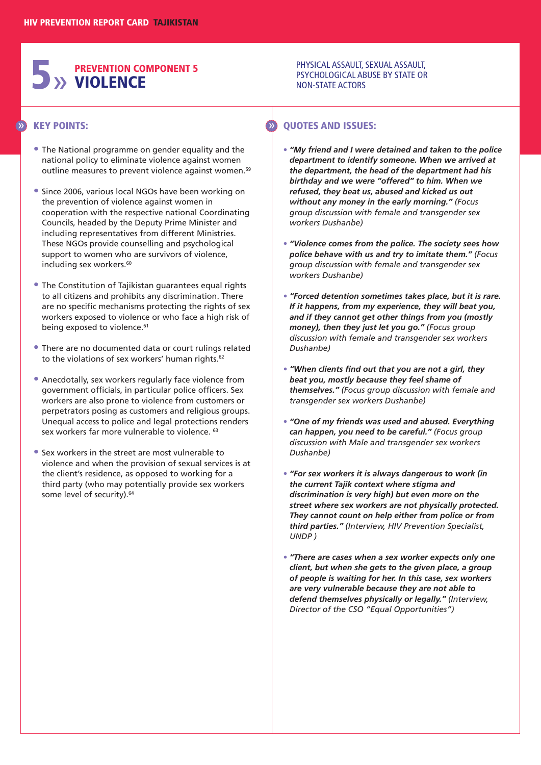# **5**» **PREVENTION COMPONENT 5 VIOLENCE**

#### PHYSICAL ASSAULT, SEXUAL ASSAULT, PSYCHOLOGICAL ABUSE BY STATE OR NON-STATE ACTORS

#### **KEY POINTS:** » »

- **•** The National programme on gender equality and the national policy to eliminate violence against women outline measures to prevent violence against women.<sup>59</sup>
- **•** Since 2006, various local NGOs have been working on the prevention of violence against women in cooperation with the respective national Coordinating Councils, headed by the Deputy Prime Minister and including representatives from different Ministries. These NGOs provide counselling and psychological support to women who are survivors of violence, including sex workers. 60
- **•** The Constitution of Tajikistan guarantees equal rights to all citizens and prohibits any discrimination. There are no specific mechanisms protecting the rights of sex workers exposed to violence or who face a high risk of being exposed to violence. 61
- **•** There are no documented data or court rulings related to the violations of sex workers' human rights.<sup>62</sup>
- **•** Anecdotally, sex workers regularly face violence from government officials, in particular police officers. Sex workers are also prone to violence from customers or perpetrators posing as customers and religious groups. Unequal access to police and legal protections renders sex workers far more vulnerable to violence. <sup>63</sup>
- **•** Sex workers in the street are most vulnerable to violence and when the provision of sexual services is at the client's residence, as opposed to working for a third party (who may potentially provide sex workers some level of security). 64

- **•** *"My friend and I were detained and taken to the police department to identify someone. When we arrived at the department, the head of the department had his birthday and we were "offered" to him. When we refused, they beat us, abused and kicked us out without any money in the early morning." (Focus group discussion with female and transgender sex workers Dushanbe)*
- **•** *"Violence comes from the police. The society sees how police behave with us and try to imitate them." (Focus group discussion with female and transgender sex workers Dushanbe)*
- **•** *"Forced detention sometimes takes place, but it is rare. If it happens, from my experience, they will beat you, and if they cannot get other things from you (mostly money), then they just let you go." (Focus group discussion with female and transgender sex workers Dushanbe)*
- **•** *"When clients find out that you are not a girl, they beat you, mostly because they feel shame of themselves." (Focus group discussion with female and transgender sex workers Dushanbe)*
- **•** *"One of my friends was used and abused. Everything can happen, you need to be careful." (Focus group discussion with Male and transgender sex workers Dushanbe)*
- **•** *"For sex workers it is always dangerous to work (in the current Tajik context where stigma and discrimination is very high) but even more on the street where sex workers are not physically protected. They cannot count on help either from police or from third parties." (Interview, HIV Prevention Specialist, UNDP )*
- **•** *"There are cases when a sex worker expects only one client, but when she gets to the given place, a group of people is waiting for her. In this case, sex workers are very vulnerable because they are not able to defend themselves physically or legally." (Interview, Director of the CSO "Equal Opportunities")*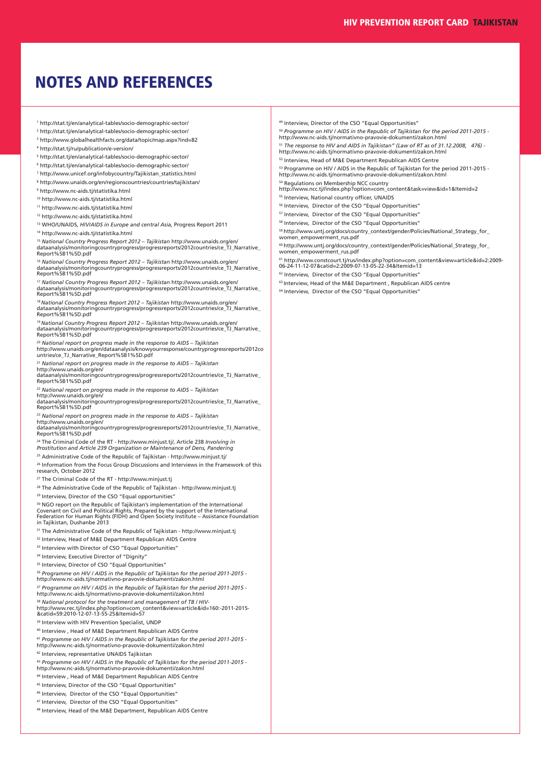## **NOTES AND REFERENCES**

- <sup>1</sup> http://stat.tj/en/analytical-tables/socio-demographic-sector/
- <sup>2</sup> http://stat.tj/en/analytical-tables/socio-demographic-sector/
- <sup>3</sup> http://www.globalhealthfacts.org/data/topic/map.aspx?ind=82
- <sup>4</sup> http://stat.tj/ru/publication/e-version/
- <sup>5</sup> http://stat.ti/en/analytical-tables/socio-demographic-sector/
- <sup>6</sup> http://stat.tj/en/analytical-tables/socio-demographic-sector/
- <sup>7</sup> http://www.unicef.org/infobycountry/Tajikistan\_statistics.html
- <sup>8</sup> http://www.unaids.org/en/regionscountries/countries/tajikistan/
- <sup>9</sup> http://www.nc-aids.tj/statistika.html
- <sup>10</sup> http://www.nc-aids.tj/statistika.html
- <sup>11</sup> http://www.nc-aids.tj/statistika.html <sup>12</sup> http://www.nc-aids.tj/statistika.html

<sup>13</sup> WHO/UNAIDS, *HIV/AIDS in Europe and central Asia*, Progress Report 2011

14 http://www.nc-aids.ti/statistika.html

<sup>15</sup> National Country Progress Report 2012 – Tajikistan http://www.unaids.org/en/<br>dataanalysis/monitoringcountryprogress/progressreports/2012countries/ce\_TJ\_Narrative\_<br>Report%5B1%5D.pdf

<sup>16</sup> *National Country Progress Report 2012 – Tajikistan* http://www.unaids.org/en/ dataanalysis/monitoringcountryprogress/progressreports/2012countries/ce\_TJ\_Narrative\_ Report%5B1%5D.pdf

<sup>17</sup> *National Country Progress Report 2012 – Tajikistan* http://www.unaids.org/en/ dataanalysis/monitoringcountryprogress/progressreports/2012countries/ce\_TJ\_Narrative\_ Report%5B1%5D.pdf

<sup>18</sup> *National Country Progress Report 2012 – Tajikistan* http://www.unaids.org/en/ dataanalysis/monitoringcountryprogress/progressreports/2012countries/ce\_TJ\_Narrative\_ Report%5B1%5D.pdf

<sup>19</sup> National Country Progress Report 2012 – Tajikistan http://www.unaids.org/en/<br>dataanalysis/monitoringcountryprogress/progressreports/2012countries/ce\_TJ\_Narrative\_<br>Report%5B1%5D.pdf

<sup>20</sup> National report on progress made in the response to AIDS – Tajikistan<br>http://www.unaids.org/en/dataanalysis/knowyourresponse/countryprogressreports/2012co<br>untries/ce\_TJ\_Narrative\_Report%5B1%5D.pdf

<sup>21</sup> National report on progress made in the response to AIDS – Tajikistan<br>http://www.unaids.org/en/<br>dataanalysis/monitoringcountryprogress/progressreports/2012countries/ce\_TJ\_Narrative\_ Report%5B1%5D.pdf

<sup>22</sup> *National report on progress made in the response to AIDS – Tajikistan* http://www.unaids.org/en/

dataanalysis/monitoringcountryprogress/progressreports/2012countries/ce\_TJ\_Narrative\_ Report%5B1%5D.pdf

<sup>23</sup> *National report on progress made in the response to AIDS – Tajikistan*

http://www.unaids.org/en/ dataanalysis/monitoringcountryprogress/progressreports/2012countries/ce\_TJ\_Narrative\_ Report%5B1%5D.pdf

<sup>24</sup> The Criminal Code of the RT - http://www.minjust.tj/, Article 238 *Involving in Prostitution and Article 239 Organization or Maintenance of Dens, Pandering*

<sup>25</sup> Administrative Code of the Republic of Tajikistan - http://www.minjust.tj/

<sup>26</sup> Information from the Focus Group Discussions and Interviews in the Framework of this research, October 2012

<sup>27</sup> The Criminal Code of the RT - http://www.minjust.tj

<sup>28</sup> The Administrative Code of the Republic of Tajikistan - http://www.minjust.ti

<sup>29</sup> Interview, Director of the CSO "Equal opportunities"

<sup>30</sup> NGO report on the Republic of Tajikistan's implementation of the International Covenant on Civil and Political Rights, Prepared by the support of the International Federation for Human Rights (FIDH) and Open Society Institute – Assistance Foundation in Tajikistan, Dushanbe 2013

<sup>31</sup> The Administrative Code of the Republic of Tajikistan - http://www.minjust.tj

<sup>32</sup> Interview, Head of M&E Department Republican AIDS Centre

<sup>33</sup> Interview with Director of CSO "Equal Opportunities"

<sup>34</sup> Interview, Executive Director of "Dignity"

<sup>35</sup> Interview. Director of CSO "Equal Opportunities"

<sup>36</sup> Programme on HIV / AIDS in the Republic of Tajikistan for the period 2011-2015 -<br>http://www.nc-aids.tj/normativno-pravovie-dokumenti/zakon.html

<sup>37</sup> Programme on HIV / AIDS in the Republic of Tajikistan for the period 2011-2015 -<br>http://www.nc-aids.tj/normativno-pravovie-dokumenti/zakon.html

<sup>38</sup> *National protocol for the treatment and management of TB / HIV*http://www.rec.tj/index.php?option=com\_content&view=article&id=160:-2011-2015- &catid=59:2010-12-07-13-55-25&Itemid=57

<sup>39</sup> Interview with HIV Prevention Specialist, UNDP

<sup>40</sup> Interview , Head of M&E Department Republican AIDS Centre

<sup>41</sup> Programme on HIV / AIDS in the Republic of Tajikistan for the period 2011-2015 -<br>http://www.nc-aids.tj/normativno-pravovie-dokumenti/zakon.html

<sup>42</sup> Interview, representative UNAIDS Tajikistan

<sup>43</sup> Programme on HIV / AIDS in the Republic of Tajikistan for the period 2011-2015 -<br>http://www.nc-aids.tj/normativno-pravovie-dokumenti/zakon.html

<sup>44</sup> Interview , Head of M&E Department Republican AIDS Centre

<sup>45</sup> Interview, Director of the CSO "Equal Opportunities"

<sup>46</sup> Interview, Director of the CSO "Equal Opportunities"

47 Interview, Director of the CSO "Equal Opportunities"

<sup>48</sup> Interview, Head of the M&E Department, Republican AIDS Centre

<sup>49</sup> Interview, Director of the CSO "Equal Opportunities"

<sup>50</sup> *Programme on HIV / AIDS in the Republic of Tajikistan for the period 2011-2015* http://www.nc-aids.tj/normativno-pravovie-dokumenti/zakon.html

<sup>51</sup> *The response to HIV and AIDS in Tajikistan" (Law of RT as of 31.12.2008, 476)* -

http://www.nc-aids.tj/normativno-pravovie-dokumenti/zakon.html <sup>52</sup> Interview, Head of M&E Department Republican AIDS Centre

<sup>53</sup> Programme on HIV / AIDS in the Republic of Tajikistan for the period 2011-2015 ·<br>http://www.nc-aids.tj/normativno-pravovie-dokumenti/zakon.html

<sup>54</sup> Regulations on Membership NCC country<br>http://www.ncc.tj//index.php?option=com\_content&task=view&id=1&Itemid=2

- 55 Interview, National country officer, UNAIDS
- 
- <sup>56</sup> Interview, Director of the CSO "Equal Opportunities"
- <sup>57</sup> Interview, Director of the CSO "Equal Opportunities"
- <sup>58</sup> Interview. Director of the CSO "Equal Opportunities"

<sup>59</sup> http://www.untj.org/docs/country\_context/gender/Policies/National\_Strategy\_for\_ women\_empowerment\_rus.pdf

 $^{60}$ http://www.untj.org/docs/country\_context/gender/Policies/National\_Strategy\_for\_ women\_empowerment\_rus.pdf

<sup>61</sup> http://www.constcourt.tj/rus/index.php?option=com\_content&view=article&id=2:2009- 06-24-11-12-07&catid=2:2009-07-13-05-22-34&Itemid=13

<sup>62</sup> Interview, Director of the CSO "Equal Opportunities"

- <sup>63</sup> Interview, Head of the M&E Department , Republican AIDS centre
- <sup>64</sup> Interview. Director of the CSO "Equal Opportunities"